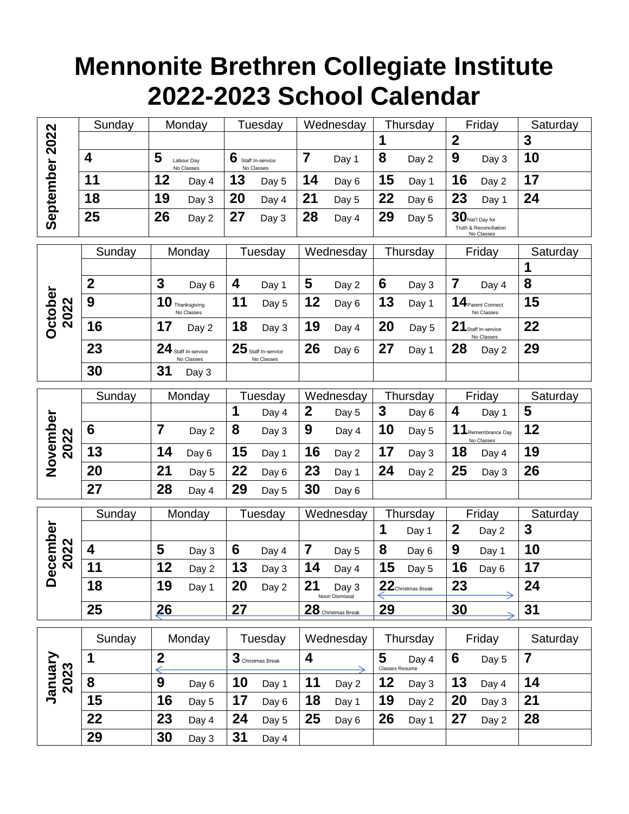## **Mennonite Brethren Collegiate Institute 2022-2023 School Calendar**

|                        | Sunday           |                | Monday                            |         | Tuesday                             |                  | Wednesday               |                     | Thursday           |                  | Friday                                                     | Saturday |  |
|------------------------|------------------|----------------|-----------------------------------|---------|-------------------------------------|------------------|-------------------------|---------------------|--------------------|------------------|------------------------------------------------------------|----------|--|
|                        |                  |                |                                   |         |                                     |                  |                         | 1                   |                    | $\boldsymbol{2}$ |                                                            | 3        |  |
|                        | 4                | 5              | Labour Day<br>No Classes          | 6       | Staff In-service<br>No Classes      | 7                | Day 1                   | 8                   | Day 2              | 9                | Day 3                                                      | 10       |  |
|                        | 11               | 12             | Day 4                             | 13      | Day 5                               | 14               | Day 6                   | 15                  | Day 1              | 16               | Day 2                                                      | 17       |  |
|                        | 18               | 19             | Day 3                             | 20      | Day 4                               | 21               | Day 5                   | 22                  | Day 6              | 23               | Day 1                                                      | 24       |  |
| September 2022         | 25               | 26             | Day 2                             | 27      | Day 3                               | 28               | Day 4                   | 29                  | Day 5              |                  | $30$ Nat'l Day for<br>Truth & Reconciliation<br>No Classes |          |  |
|                        | Sunday           |                | Monday                            |         | Tuesday                             |                  | Wednesday               |                     | Thursday           |                  | Friday                                                     | Saturday |  |
|                        |                  |                |                                   |         |                                     |                  |                         |                     |                    |                  |                                                            | 1        |  |
|                        | $\boldsymbol{2}$ | $\mathbf{3}$   | Day 6                             | 4       | Day 1                               | 5                | Day 2                   | 6                   | Day 3              | $\overline{7}$   | Day 4                                                      | 8        |  |
| <b>October</b><br>2022 | 9                |                | $10$ Thanksgiving<br>No Classes   | 11      | Day 5                               | 12               | Day 6                   | 13                  | Day 1              |                  | 14 Parent Connect<br>No Classes                            | 15       |  |
|                        | 16               | 17             | Day 2                             | 18      | Day 3                               | 19               | Day 4                   | 20                  | Day 5              |                  | 21 Staff In-service<br>No Classes                          | 22       |  |
|                        | 23               |                | 24 Staff In-service<br>No Classes |         | $25$ Staff In-service<br>No Classes | 26               | Day 6                   | 27                  | Day 1              | 28               | Day 2                                                      | 29       |  |
|                        | 30               | 31             | Day 3                             |         |                                     |                  |                         |                     |                    |                  |                                                            |          |  |
|                        | Sunday           | Monday         |                                   | Tuesday |                                     | Wednesday        |                         | Thursday            |                    | Friday           |                                                            | Saturday |  |
|                        |                  |                |                                   | 1       | Day 4                               | $\boldsymbol{2}$ | Day 5                   | 3                   | Day 6              | 4                | Day 1                                                      | 5        |  |
| November<br>2022       | 6                | $\overline{7}$ | Day 2                             | 8       | Day 3                               | 9                | Day 4                   | 10                  | Day 5              |                  | $11$ Remembrance Day<br>No Classes                         | 12       |  |
|                        | 13               | 14             | Day 6                             | 15      | Day 1                               | 16               | Day 2                   | 17                  | Day 3              | 18               | Day 4                                                      | 19       |  |
|                        | 20               | 21             | Day 5                             | 22      | Day 6                               | 23               | Day 1                   | 24                  | Day 2              | 25               | Day 3                                                      | 26       |  |
|                        | 27               | 28             | Day 4                             | 29      | Day 5                               | 30               | Day 6                   |                     |                    |                  |                                                            |          |  |
|                        | Sunday           |                | Monday                            |         | Tuesday                             |                  | Wednesday               |                     | Thursday           |                  | Friday                                                     | Saturday |  |
|                        |                  |                |                                   |         |                                     |                  |                         | $\mathbf 1$         | Day 1              | $\boldsymbol{2}$ | Day 2                                                      | 3        |  |
| 2022                   | 4                | 5              | Day 3                             | 6       | Day 4                               | $\overline{7}$   | Day 5                   | 8                   | Day 6              | 9                | Day 1                                                      | 10       |  |
| <b>December</b>        | 11               | 12             | Day 2                             | 13      | Day 3                               | 14               | Day 4                   | 15                  | Day 5              | 16               | Day 6                                                      | 17       |  |
|                        | 18               | 19             | Day 1                             | 20      | Day 2                               | 21               | Day 3<br>Noon Dismissal |                     | 22 Christmas Break | 23               |                                                            | 24       |  |
|                        | 25               | <u>26</u>      |                                   | 27      |                                     |                  | 28 Christmas Break      | 29                  |                    | 30               |                                                            | 31       |  |
|                        | Sunday           |                | Monday                            | Tuesday |                                     | Wednesday        |                         | Thursday            |                    | Friday           |                                                            | Saturday |  |
| January<br>2023        | 1                | $\overline{2}$ |                                   |         | 3 Christmas Break                   | 4                |                         | 5<br>Classes Resume | Day 4              | 6                | Day 5                                                      | 7        |  |
|                        | 8                | 9              | Day 6                             | 10      | Day 1                               | 11               | Day 2                   | 12                  | Day 3              | 13               | Day 4                                                      | 14       |  |
|                        | 15               | 16             | Day 5                             | 17      | Day 6                               | 18               | Day 1                   | 19                  | Day 2              | 20               | Day 3                                                      | 21       |  |
|                        | 22               | 23             | Day 4                             | 24      | Day 5                               | 25               | Day 6                   | 26                  | Day 1              | 27               | Day 2                                                      | 28       |  |
|                        | 29               | 30             | Day 3                             | 31      | Day 4                               |                  |                         |                     |                    |                  |                                                            |          |  |